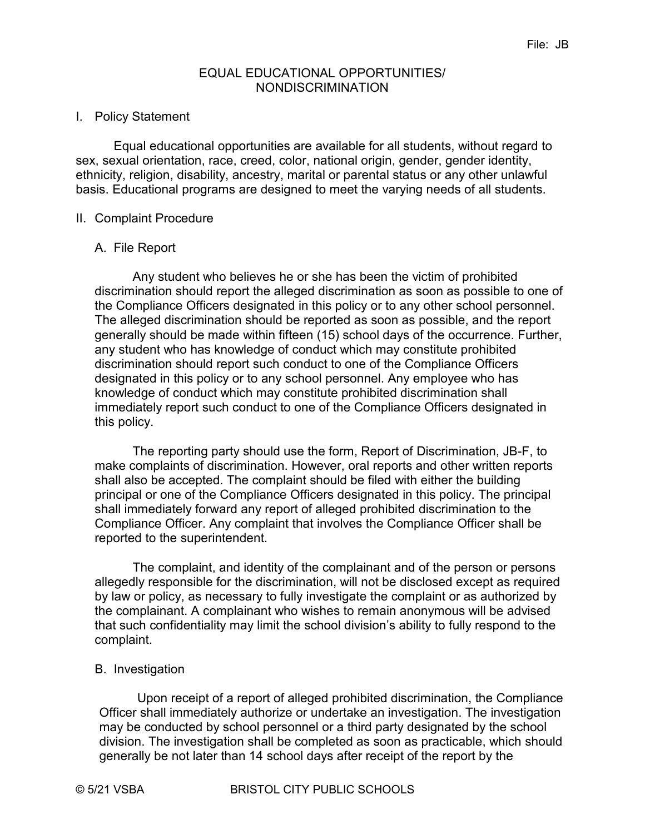### EQUAL EDUCATIONAL OPPORTUNITIES/ NONDISCRIMINATION

### I. Policy Statement

Equal educational opportunities are available for all students, without regard to sex, sexual orientation, race, creed, color, national origin, gender, gender identity, ethnicity, religion, disability, ancestry, marital or parental status or any other unlawful basis. Educational programs are designed to meet the varying needs of all students.

## II. Complaint Procedure

## A. File Report

Any student who believes he or she has been the victim of prohibited discrimination should report the alleged discrimination as soon as possible to one of the Compliance Officers designated in this policy or to any other school personnel. The alleged discrimination should be reported as soon as possible, and the report generally should be made within fifteen (15) school days of the occurrence. Further, any student who has knowledge of conduct which may constitute prohibited discrimination should report such conduct to one of the Compliance Officers designated in this policy or to any school personnel. Any employee who has knowledge of conduct which may constitute prohibited discrimination shall immediately report such conduct to one of the Compliance Officers designated in this policy.

The reporting party should use the form, Report of Discrimination, JB-F, to make complaints of discrimination. However, oral reports and other written reports shall also be accepted. The complaint should be filed with either the building principal or one of the Compliance Officers designated in this policy. The principal shall immediately forward any report of alleged prohibited discrimination to the Compliance Officer. Any complaint that involves the Compliance Officer shall be reported to the superintendent.

The complaint, and identity of the complainant and of the person or persons allegedly responsible for the discrimination, will not be disclosed except as required by law or policy, as necessary to fully investigate the complaint or as authorized by the complainant. A complainant who wishes to remain anonymous will be advised that such confidentiality may limit the school division's ability to fully respond to the complaint.

#### B. Investigation

Upon receipt of a report of alleged prohibited discrimination, the Compliance Officer shall immediately authorize or undertake an investigation. The investigation may be conducted by school personnel or a third party designated by the school division. The investigation shall be completed as soon as practicable, which should generally be not later than 14 school days after receipt of the report by the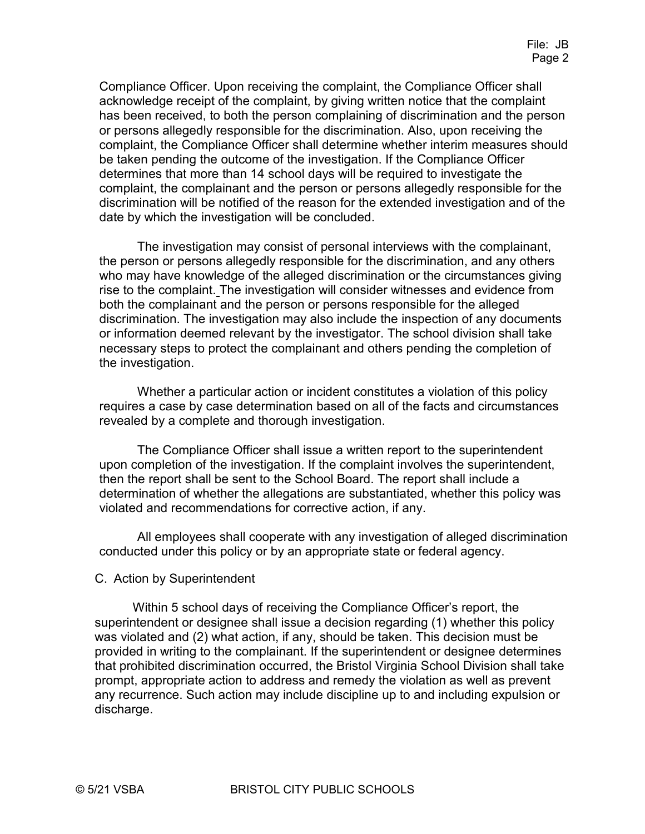Compliance Officer. Upon receiving the complaint, the Compliance Officer shall acknowledge receipt of the complaint, by giving written notice that the complaint has been received, to both the person complaining of discrimination and the person or persons allegedly responsible for the discrimination. Also, upon receiving the complaint, the Compliance Officer shall determine whether interim measures should be taken pending the outcome of the investigation. If the Compliance Officer determines that more than 14 school days will be required to investigate the complaint, the complainant and the person or persons allegedly responsible for the discrimination will be notified of the reason for the extended investigation and of the date by which the investigation will be concluded.

The investigation may consist of personal interviews with the complainant, the person or persons allegedly responsible for the discrimination, and any others who may have knowledge of the alleged discrimination or the circumstances giving rise to the complaint. The investigation will consider witnesses and evidence from both the complainant and the person or persons responsible for the alleged discrimination. The investigation may also include the inspection of any documents or information deemed relevant by the investigator. The school division shall take necessary steps to protect the complainant and others pending the completion of the investigation.

Whether a particular action or incident constitutes a violation of this policy requires a case by case determination based on all of the facts and circumstances revealed by a complete and thorough investigation.

The Compliance Officer shall issue a written report to the superintendent upon completion of the investigation. If the complaint involves the superintendent, then the report shall be sent to the School Board. The report shall include a determination of whether the allegations are substantiated, whether this policy was violated and recommendations for corrective action, if any.

All employees shall cooperate with any investigation of alleged discrimination conducted under this policy or by an appropriate state or federal agency.

#### C. Action by Superintendent

Within 5 school days of receiving the Compliance Officer's report, the superintendent or designee shall issue a decision regarding (1) whether this policy was violated and (2) what action, if any, should be taken. This decision must be provided in writing to the complainant. If the superintendent or designee determines that prohibited discrimination occurred, the Bristol Virginia School Division shall take prompt, appropriate action to address and remedy the violation as well as prevent any recurrence. Such action may include discipline up to and including expulsion or discharge.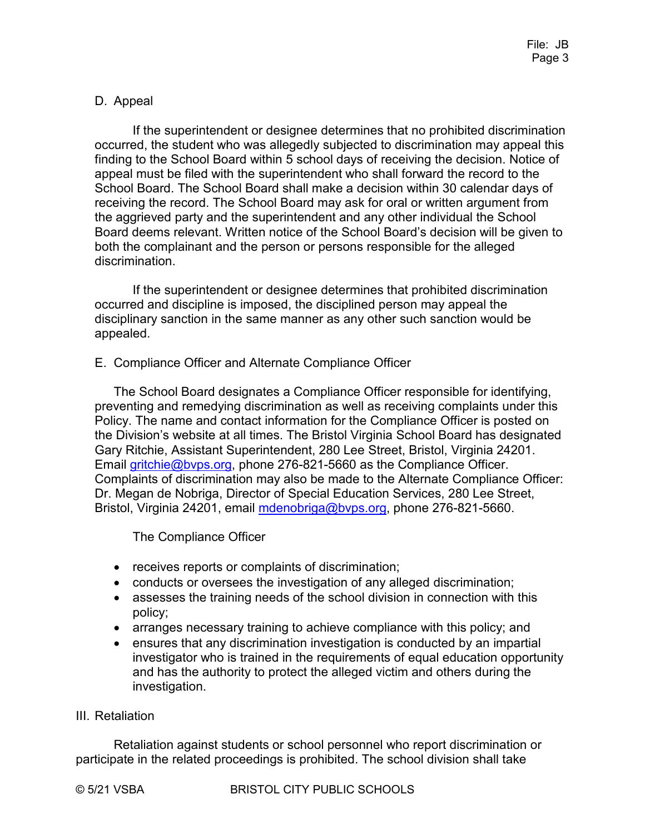# D. Appeal

If the superintendent or designee determines that no prohibited discrimination occurred, the student who was allegedly subjected to discrimination may appeal this finding to the School Board within 5 school days of receiving the decision. Notice of appeal must be filed with the superintendent who shall forward the record to the School Board. The School Board shall make a decision within 30 calendar days of receiving the record. The School Board may ask for oral or written argument from the aggrieved party and the superintendent and any other individual the School Board deems relevant. Written notice of the School Board's decision will be given to both the complainant and the person or persons responsible for the alleged discrimination.

If the superintendent or designee determines that prohibited discrimination occurred and discipline is imposed, the disciplined person may appeal the disciplinary sanction in the same manner as any other such sanction would be appealed.

E. Compliance Officer and Alternate Compliance Officer

The School Board designates a Compliance Officer responsible for identifying, preventing and remedying discrimination as well as receiving complaints under this Policy. The name and contact information for the Compliance Officer is posted on the Division's website at all times. The Bristol Virginia School Board has designated Gary Ritchie, Assistant Superintendent, 280 Lee Street, Bristol, Virginia 24201. Email gritchie@byps.org, phone 276-821-5660 as the Compliance Officer. Complaints of discrimination may also be made to the Alternate Compliance Officer: Dr. Megan de Nobriga, Director of Special Education Services, 280 Lee Street, Bristol, Virginia 24201, email mdenobriga@byps.org, phone 276-821-5660.

The Compliance Officer

- receives reports or complaints of discrimination;
- conducts or oversees the investigation of any alleged discrimination;
- assesses the training needs of the school division in connection with this policy;
- arranges necessary training to achieve compliance with this policy; and
- ensures that any discrimination investigation is conducted by an impartial investigator who is trained in the requirements of equal education opportunity and has the authority to protect the alleged victim and others during the investigation.

# III. Retaliation

Retaliation against students or school personnel who report discrimination or participate in the related proceedings is prohibited. The school division shall take